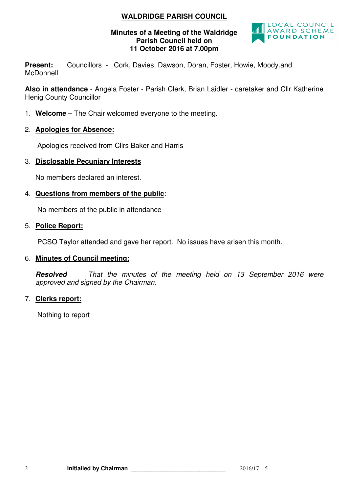# **WALDRIDGE PARISH COUNCIL**

#### **Minutes of a Meeting of the Waldridge Parish Council held on 11 October 2016 at 7.00pm**



Present: Councillors - Cork, Davies, Dawson, Doran, Foster, Howie, Moody.and **McDonnell** 

**Also in attendance** - Angela Foster - Parish Clerk, Brian Laidler - caretaker and Cllr Katherine Henig County Councillor

- 1. **Welcome**  The Chair welcomed everyone to the meeting.
- 2. **Apologies for Absence:**

Apologies received from Cllrs Baker and Harris

### 3. **Disclosable Pecuniary Interests**

No members declared an interest.

# 4. **Questions from members of the public**:

No members of the public in attendance

### 5. **Police Report:**

PCSO Taylor attended and gave her report. No issues have arisen this month.

#### 6. **Minutes of Council meeting:**

**Resolved** That the minutes of the meeting held on 13 September 2016 were approved and signed by the Chairman.

#### 7. **Clerks report:**

Nothing to report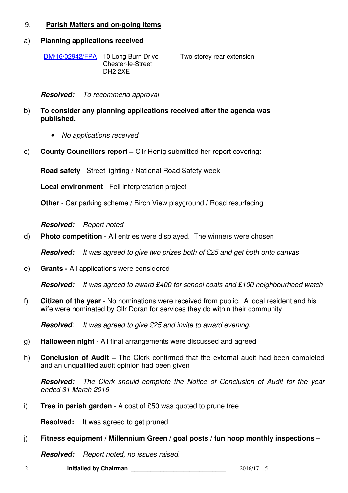# 9. **Parish Matters and on-going items**

#### a) **Planning applications received**

| DM/16/02942/FPA 10 Long Burn Drive | Two storey rear extension |
|------------------------------------|---------------------------|
| Chester-le-Street                  |                           |
| DH2 2XE                            |                           |

**Resolved:** To recommend approval

- b) **To consider any planning applications received after the agenda was published.** 
	- No applications received
- c) **County Councillors report** Cllr Henig submitted her report covering:

**Road safety** - Street lighting / National Road Safety week

**Local environment** - Fell interpretation project

**Other** - Car parking scheme / Birch View playground / Road resurfacing

**Resolved:** Report noted

d) **Photo competition** - All entries were displayed. The winners were chosen

**Resolved:** It was agreed to give two prizes both of £25 and get both onto canvas

e) **Grants -** All applications were considered

**Resolved:** It was agreed to award £400 for school coats and £100 neighbourhood watch

f) **Citizen of the year** - No nominations were received from public. A local resident and his wife were nominated by Cllr Doran for services they do within their community

**Resolved:** It was agreed to give £25 and invite to award evening.

- g) **Halloween night**  All final arrangements were discussed and agreed
- h) **Conclusion of Audit** The Clerk confirmed that the external audit had been completed and an unqualified audit opinion had been given

**Resolved:** The Clerk should complete the Notice of Conclusion of Audit for the year ended 31 March 2016

i) **Tree in parish garden** - A cost of £50 was quoted to prune tree

**Resolved:** It was agreed to get pruned

#### j) **Fitness equipment / Millennium Green / goal posts / fun hoop monthly inspections –**

**Resolved:** Report noted, no issues raised.

2 **Initialled by Chairman** \_\_\_\_\_\_\_\_\_\_\_\_\_\_\_\_\_\_\_\_\_\_\_\_\_\_\_\_\_ 2016/17 – 5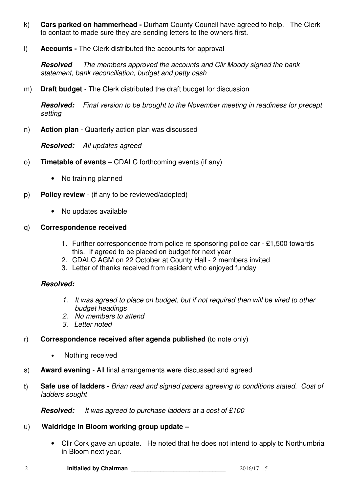- k) **Cars parked on hammerhead** Durham County Council have agreed to help. The Clerk to contact to made sure they are sending letters to the owners first.
- l) **Accounts** The Clerk distributed the accounts for approval

**Resolved** The members approved the accounts and Cllr Moody signed the bank statement, bank reconciliation, budget and petty cash

m) **Draft budget** - The Clerk distributed the draft budget for discussion

**Resolved:** Final version to be brought to the November meeting in readiness for precept setting

n) **Action plan** - Quarterly action plan was discussed

**Resolved:** All updates agreed

- o) **Timetable of events** CDALC forthcoming events (if any)
	- No training planned
- p) **Policy review**  (if any to be reviewed/adopted)
	- No updates available

#### q) **Correspondence received**

- 1. Further correspondence from police re sponsoring police car £1,500 towards this. If agreed to be placed on budget for next year
- 2. CDALC AGM on 22 October at County Hall 2 members invited
- 3. Letter of thanks received from resident who enjoyed funday

# **Resolved:**

- 1. It was agreed to place on budget, but if not required then will be vired to other budget headings
- 2. No members to attend
- 3. Letter noted
- r) **Correspondence received after agenda published** (to note only)
	- Nothing received
- s) **Award evening**  All final arrangements were discussed and agreed
- t) **Safe use of ladders** Brian read and signed papers agreeing to conditions stated. Cost of ladders sought

**Resolved:** It was agreed to purchase ladders at a cost of £100

#### u) **Waldridge in Bloom working group update –**

• Cllr Cork gave an update. He noted that he does not intend to apply to Northumbria in Bloom next year.